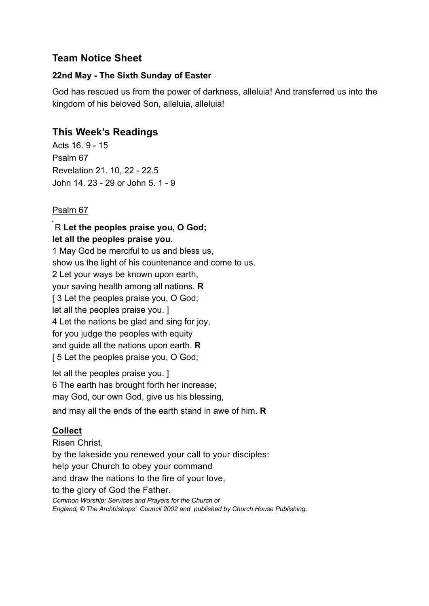## **Team Notice Sheet**

### **22nd May - The Sixth Sunday of Easter**

God has rescued us from the power of darkness, alleluia! And transferred us into the kingdom of his beloved Son, alleluia, alleluia!

# **This Week's Readings**

Acts 16. 9 - 15 Psalm 67 Revelation 21. 10, 22 - 22.5 John 14. 23 - 29 or John 5. 1 - 9

### Psalm 67

### R **Let the peoples praise you, O God; let all the peoples praise you.**

1 May God be merciful to us and bless us, show us the light of his countenance and come to us. 2 Let your ways be known upon earth, your saving health among all nations. **R** [ 3 Let the peoples praise you, O God; let all the peoples praise you. ] 4 Let the nations be glad and sing for joy, for you judge the peoples with equity and guide all the nations upon earth. **R** [ 5 Let the peoples praise you, O God;

let all the peoples praise you. ] 6 The earth has brought forth her increase; may God, our own God, give us his blessing, and may all the ends of the earth stand in awe of him. **R**

## **Collect**

Risen Christ, by the lakeside you renewed your call to your disciples: help your Church to obey your command and draw the nations to the fire of your love, to the glory of God the Father. *Common Worship: Services and Prayers for the Church of England, © The Archbishops' Council 2002 and published by Church House Publishing.*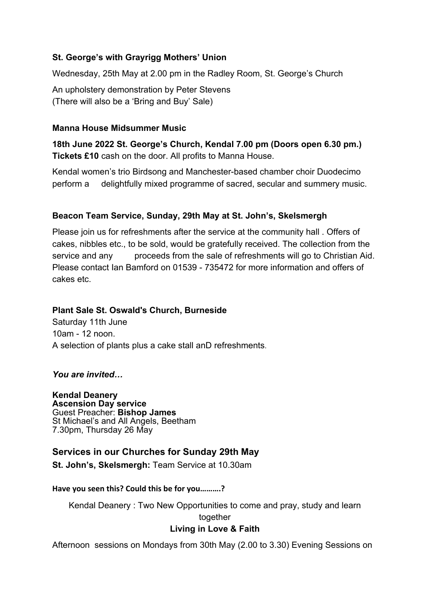### **St. George's with Grayrigg Mothers' Union**

Wednesday, 25th May at 2.00 pm in the Radley Room, St. George's Church

An upholstery demonstration by Peter Stevens (There will also be a 'Bring and Buy' Sale)

#### **Manna House Midsummer Music**

**18th June 2022 St. George's Church, Kendal 7.00 pm (Doors open 6.30 pm.) Tickets £10** cash on the door. All profits to Manna House.

Kendal women's trio Birdsong and Manchester-based chamber choir Duodecimo perform a delightfully mixed programme of sacred, secular and summery music.

### **Beacon Team Service, Sunday, 29th May at St. John's, Skelsmergh**

Please join us for refreshments after the service at the community hall . Offers of cakes, nibbles etc., to be sold, would be gratefully received. The collection from the service and any proceeds from the sale of refreshments will go to Christian Aid. Please contact Ian Bamford on 01539 - 735472 for more information and offers of cakes etc.

### **Plant Sale St. Oswald's Church, Burneside**

Saturday 11th June 10am - 12 noon. A selection of plants plus a cake stall anD refreshments.

*You are invited…*

**Kendal Deanery Ascension Day service** Guest Preacher: **Bishop James** St Michael's and All Angels, Beetham 7.30pm, Thursday 26 May

## **Services in our Churches for Sunday 29th May**

**St. John's, Skelsmergh:** Team Service at 10.30am

**Have you seen this? Could this be for you……….?**

Kendal Deanery : Two New Opportunities to come and pray, study and learn together **Living in Love & Faith**

Afternoon sessions on Mondays from 30th May (2.00 to 3.30) Evening Sessions on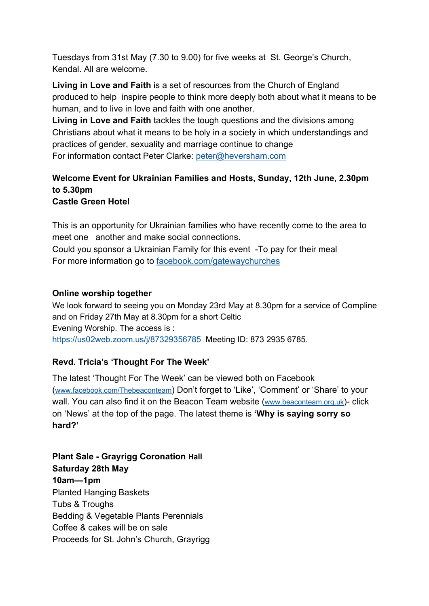Tuesdays from 31st May (7.30 to 9.00) for five weeks at St. George's Church, Kendal. All are welcome.

**Living in Love and Faith** is a set of resources from the Church of England produced to help inspire people to think more deeply both about what it means to be human, and to live in love and faith with one another.

**Living in Love and Faith** tackles the tough questions and the divisions among Christians about what it means to be holy in a society in which understandings and practices of gender, sexuality and marriage continue to change For information contact Peter Clarke: peter@heversham.com

### **Welcome Event for Ukrainian Families and Hosts, Sunday, 12th June, 2.30pm to 5.30pm Castle Green Hotel**

This is an opportunity for Ukrainian families who have recently come to the area to meet one another and make social connections.

Could you sponsor a Ukrainian Family for this event -To pay for their meal For more information go to facebook.com/gatewaychurches

### **Online worship together**

We look forward to seeing you on Monday 23rd May at 8.30pm for a service of Compline and on Friday 27th May at 8.30pm for a short Celtic Evening Worship. The access is : https://us02web.zoom.us/j/87329356785 Meeting ID: 873 2935 6785.

## **Revd. Tricia's 'Thought For The Week'**

The latest 'Thought For The Week' can be viewed both on Facebook (www.facebook.com/Thebeaconteam) Don't forget to 'Like', 'Comment' or 'Share' to your wall. You can also find it on the Beacon Team website (www.beaconteam.org.uk)- click on 'News' at the top of the page. The latest theme is **'Why is saying sorry so hard?'**

**Plant Sale - Grayrigg Coronation Hall Saturday 28th May 10am—1pm** Planted Hanging Baskets Tubs & Troughs Bedding & Vegetable Plants Perennials Coffee & cakes will be on sale Proceeds for St. John's Church, Grayrigg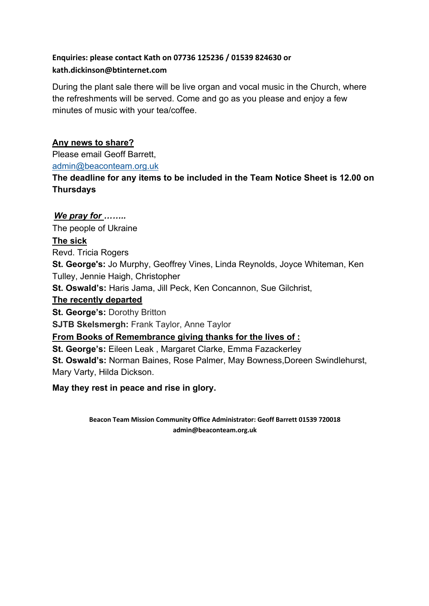## **Enquiries: please contact Kath on 07736 125236 / 01539 824630 or kath.dickinson@btinternet.com**

During the plant sale there will be live organ and vocal music in the Church, where the refreshments will be served. Come and go as you please and enjoy a few minutes of music with your tea/coffee.

### **Any news to share?**

Please email Geoff Barrett, admin@beaconteam.org.uk

**The deadline for any items to be included in the Team Notice Sheet is 12.00 on Thursdays**

## *We pray for ……..*

The people of Ukraine

### **The sick**

Revd. Tricia Rogers

**St. George's:** Jo Murphy, Geoffrey Vines, Linda Reynolds, Joyce Whiteman, Ken Tulley, Jennie Haigh, Christopher

**St. Oswald's:** Haris Jama, Jill Peck, Ken Concannon, Sue Gilchrist,

### **The recently departed**

**St. George's: Dorothy Britton** 

**SJTB Skelsmergh:** Frank Taylor, Anne Taylor

**From Books of Remembrance giving thanks for the lives of :**

**St. George's:** Eileen Leak , Margaret Clarke, Emma Fazackerley **St. Oswald's:** Norman Baines, Rose Palmer, May Bowness,Doreen Swindlehurst, Mary Varty, Hilda Dickson.

## **May they rest in peace and rise in glory.**

**Beacon Team Mission Community Office Administrator: Geoff Barrett 01539 720018 admin@beaconteam.org.uk**